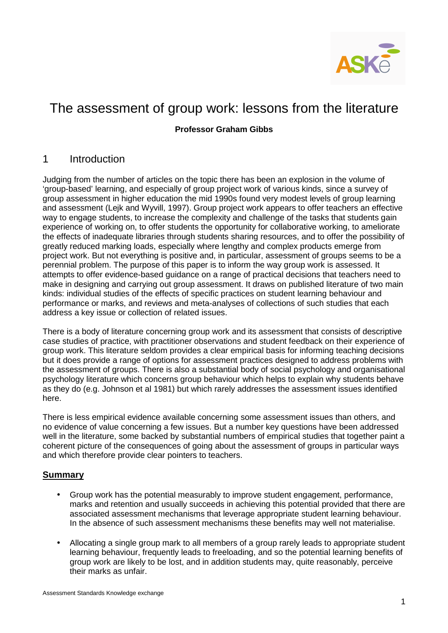

### **Professor Graham Gibbs**

# 1 Introduction

Judging from the number of articles on the topic there has been an explosion in the volume of 'group-based' learning, and especially of group project work of various kinds, since a survey of group assessment in higher education the mid 1990s found very modest levels of group learning and assessment (Lejk and Wyvill, 1997). Group project work appears to offer teachers an effective way to engage students, to increase the complexity and challenge of the tasks that students gain experience of working on, to offer students the opportunity for collaborative working, to ameliorate the effects of inadequate libraries through students sharing resources, and to offer the possibility of greatly reduced marking loads, especially where lengthy and complex products emerge from project work. But not everything is positive and, in particular, assessment of groups seems to be a perennial problem. The purpose of this paper is to inform the way group work is assessed. It attempts to offer evidence-based guidance on a range of practical decisions that teachers need to make in designing and carrying out group assessment. It draws on published literature of two main kinds: individual studies of the effects of specific practices on student learning behaviour and performance or marks, and reviews and meta-analyses of collections of such studies that each address a key issue or collection of related issues.

There is a body of literature concerning group work and its assessment that consists of descriptive case studies of practice, with practitioner observations and student feedback on their experience of group work. This literature seldom provides a clear empirical basis for informing teaching decisions but it does provide a range of options for assessment practices designed to address problems with the assessment of groups. There is also a substantial body of social psychology and organisational psychology literature which concerns group behaviour which helps to explain why students behave as they do (e.g. Johnson et al 1981) but which rarely addresses the assessment issues identified here.

There is less empirical evidence available concerning some assessment issues than others, and no evidence of value concerning a few issues. But a number key questions have been addressed well in the literature, some backed by substantial numbers of empirical studies that together paint a coherent picture of the consequences of going about the assessment of groups in particular ways and which therefore provide clear pointers to teachers.

### **Summary**

- Group work has the potential measurably to improve student engagement, performance, marks and retention and usually succeeds in achieving this potential provided that there are associated assessment mechanisms that leverage appropriate student learning behaviour. In the absence of such assessment mechanisms these benefits may well not materialise.
- Allocating a single group mark to all members of a group rarely leads to appropriate student learning behaviour, frequently leads to freeloading, and so the potential learning benefits of group work are likely to be lost, and in addition students may, quite reasonably, perceive their marks as unfair.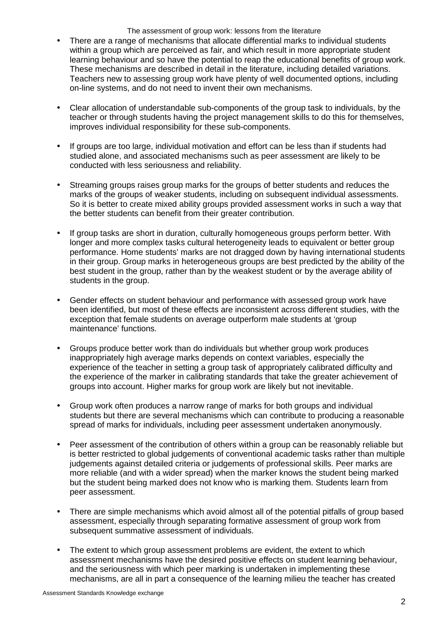- There are a range of mechanisms that allocate differential marks to individual students within a group which are perceived as fair, and which result in more appropriate student learning behaviour and so have the potential to reap the educational benefits of group work. These mechanisms are described in detail in the literature, including detailed variations. Teachers new to assessing group work have plenty of well documented options, including on-line systems, and do not need to invent their own mechanisms.
- Clear allocation of understandable sub-components of the group task to individuals, by the teacher or through students having the project management skills to do this for themselves, improves individual responsibility for these sub-components.
- If groups are too large, individual motivation and effort can be less than if students had studied alone, and associated mechanisms such as peer assessment are likely to be conducted with less seriousness and reliability.
- Streaming groups raises group marks for the groups of better students and reduces the marks of the groups of weaker students, including on subsequent individual assessments. So it is better to create mixed ability groups provided assessment works in such a way that the better students can benefit from their greater contribution.
- If group tasks are short in duration, culturally homogeneous groups perform better. With longer and more complex tasks cultural heterogeneity leads to equivalent or better group performance. Home students' marks are not dragged down by having international students in their group. Group marks in heterogeneous groups are best predicted by the ability of the best student in the group, rather than by the weakest student or by the average ability of students in the group.
- Gender effects on student behaviour and performance with assessed group work have been identified, but most of these effects are inconsistent across different studies, with the exception that female students on average outperform male students at 'group maintenance' functions.
- Groups produce better work than do individuals but whether group work produces inappropriately high average marks depends on context variables, especially the experience of the teacher in setting a group task of appropriately calibrated difficulty and the experience of the marker in calibrating standards that take the greater achievement of groups into account. Higher marks for group work are likely but not inevitable.
- Group work often produces a narrow range of marks for both groups and individual students but there are several mechanisms which can contribute to producing a reasonable spread of marks for individuals, including peer assessment undertaken anonymously.
- Peer assessment of the contribution of others within a group can be reasonably reliable but is better restricted to global judgements of conventional academic tasks rather than multiple judgements against detailed criteria or judgements of professional skills. Peer marks are more reliable (and with a wider spread) when the marker knows the student being marked but the student being marked does not know who is marking them. Students learn from peer assessment.
- There are simple mechanisms which avoid almost all of the potential pitfalls of group based assessment, especially through separating formative assessment of group work from subsequent summative assessment of individuals.
- The extent to which group assessment problems are evident, the extent to which assessment mechanisms have the desired positive effects on student learning behaviour, and the seriousness with which peer marking is undertaken in implementing these mechanisms, are all in part a consequence of the learning milieu the teacher has created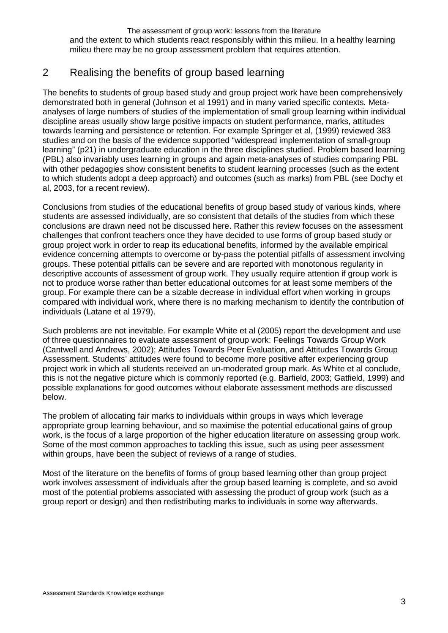The assessment of group work: lessons from the literature and the extent to which students react responsibly within this milieu. In a healthy learning milieu there may be no group assessment problem that requires attention.

# 2 Realising the benefits of group based learning

The benefits to students of group based study and group project work have been comprehensively demonstrated both in general (Johnson et al 1991) and in many varied specific contexts. Metaanalyses of large numbers of studies of the implementation of small group learning within individual discipline areas usually show large positive impacts on student performance, marks, attitudes towards learning and persistence or retention. For example Springer et al, (1999) reviewed 383 studies and on the basis of the evidence supported "widespread implementation of small-group learning" (p21) in undergraduate education in the three disciplines studied. Problem based learning (PBL) also invariably uses learning in groups and again meta-analyses of studies comparing PBL with other pedagogies show consistent benefits to student learning processes (such as the extent to which students adopt a deep approach) and outcomes (such as marks) from PBL (see Dochy et al, 2003, for a recent review).

Conclusions from studies of the educational benefits of group based study of various kinds, where students are assessed individually, are so consistent that details of the studies from which these conclusions are drawn need not be discussed here. Rather this review focuses on the assessment challenges that confront teachers once they have decided to use forms of group based study or group project work in order to reap its educational benefits, informed by the available empirical evidence concerning attempts to overcome or by-pass the potential pitfalls of assessment involving groups. These potential pitfalls can be severe and are reported with monotonous regularity in descriptive accounts of assessment of group work. They usually require attention if group work is not to produce worse rather than better educational outcomes for at least some members of the group. For example there can be a sizable decrease in individual effort when working in groups compared with individual work, where there is no marking mechanism to identify the contribution of individuals (Latane et al 1979).

Such problems are not inevitable. For example White et al (2005) report the development and use of three questionnaires to evaluate assessment of group work: Feelings Towards Group Work (Cantwell and Andrews, 2002); Attitudes Towards Peer Evaluation, and Attitudes Towards Group Assessment. Students' attitudes were found to become more positive after experiencing group project work in which all students received an un-moderated group mark. As White et al conclude, this is not the negative picture which is commonly reported (e.g. Barfield, 2003; Gatfield, 1999) and possible explanations for good outcomes without elaborate assessment methods are discussed below.

The problem of allocating fair marks to individuals within groups in ways which leverage appropriate group learning behaviour, and so maximise the potential educational gains of group work, is the focus of a large proportion of the higher education literature on assessing group work. Some of the most common approaches to tackling this issue, such as using peer assessment within groups, have been the subject of reviews of a range of studies.

Most of the literature on the benefits of forms of group based learning other than group project work involves assessment of individuals after the group based learning is complete, and so avoid most of the potential problems associated with assessing the product of group work (such as a group report or design) and then redistributing marks to individuals in some way afterwards.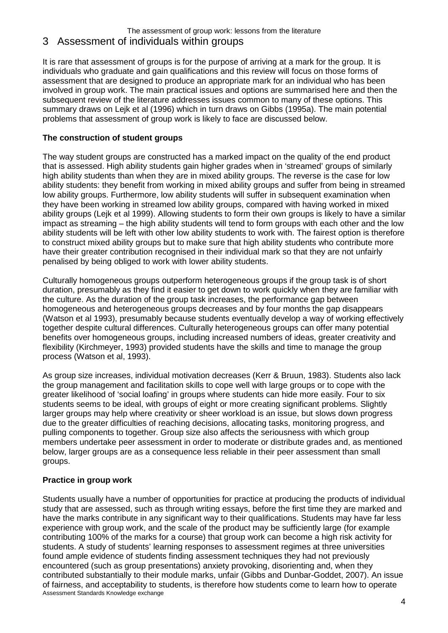# 3 Assessment of individuals within groups

It is rare that assessment of groups is for the purpose of arriving at a mark for the group. It is individuals who graduate and gain qualifications and this review will focus on those forms of assessment that are designed to produce an appropriate mark for an individual who has been involved in group work. The main practical issues and options are summarised here and then the subsequent review of the literature addresses issues common to many of these options. This summary draws on Lejk et al (1996) which in turn draws on Gibbs (1995a). The main potential problems that assessment of group work is likely to face are discussed below.

### **The construction of student groups**

The way student groups are constructed has a marked impact on the quality of the end product that is assessed. High ability students gain higher grades when in 'streamed' groups of similarly high ability students than when they are in mixed ability groups. The reverse is the case for low ability students: they benefit from working in mixed ability groups and suffer from being in streamed low ability groups. Furthermore, low ability students will suffer in subsequent examination when they have been working in streamed low ability groups, compared with having worked in mixed ability groups (Lejk et al 1999). Allowing students to form their own groups is likely to have a similar impact as streaming – the high ability students will tend to form groups with each other and the low ability students will be left with other low ability students to work with. The fairest option is therefore to construct mixed ability groups but to make sure that high ability students who contribute more have their greater contribution recognised in their individual mark so that they are not unfairly penalised by being obliged to work with lower ability students.

Culturally homogeneous groups outperform heterogeneous groups if the group task is of short duration, presumably as they find it easier to get down to work quickly when they are familiar with the culture. As the duration of the group task increases, the performance gap between homogeneous and heterogeneous groups decreases and by four months the gap disappears (Watson et al 1993), presumably because students eventually develop a way of working effectively together despite cultural differences. Culturally heterogeneous groups can offer many potential benefits over homogeneous groups, including increased numbers of ideas, greater creativity and flexibility (Kirchmeyer, 1993) provided students have the skills and time to manage the group process (Watson et al, 1993).

As group size increases, individual motivation decreases (Kerr & Bruun, 1983). Students also lack the group management and facilitation skills to cope well with large groups or to cope with the greater likelihood of 'social loafing' in groups where students can hide more easily. Four to six students seems to be ideal, with groups of eight or more creating significant problems. Slightly larger groups may help where creativity or sheer workload is an issue, but slows down progress due to the greater difficulties of reaching decisions, allocating tasks, monitoring progress, and pulling components to together. Group size also affects the seriousness with which group members undertake peer assessment in order to moderate or distribute grades and, as mentioned below, larger groups are as a consequence less reliable in their peer assessment than small groups.

# **Practice in group work**

Assessment Standards Knowledge exchange Students usually have a number of opportunities for practice at producing the products of individual study that are assessed, such as through writing essays, before the first time they are marked and have the marks contribute in any significant way to their qualifications. Students may have far less experience with group work, and the scale of the product may be sufficiently large (for example contributing 100% of the marks for a course) that group work can become a high risk activity for students. A study of students' learning responses to assessment regimes at three universities found ample evidence of students finding assessment techniques they had not previously encountered (such as group presentations) anxiety provoking, disorienting and, when they contributed substantially to their module marks, unfair (Gibbs and Dunbar-Goddet, 2007). An issue of fairness, and acceptability to students, is therefore how students come to learn how to operate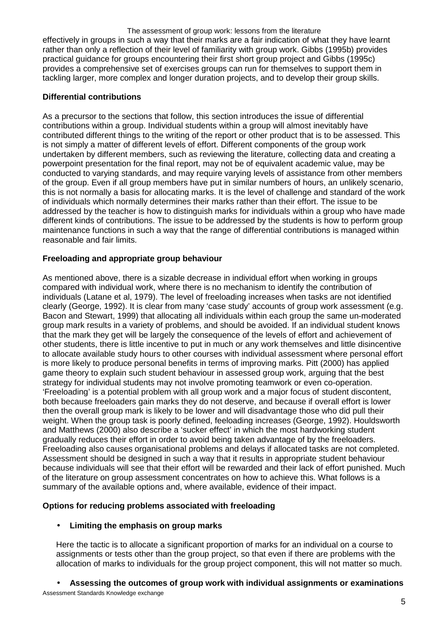The assessment of group work: lessons from the literature effectively in groups in such a way that their marks are a fair indication of what they have learnt rather than only a reflection of their level of familiarity with group work. Gibbs (1995b) provides practical guidance for groups encountering their first short group project and Gibbs (1995c) provides a comprehensive set of exercises groups can run for themselves to support them in tackling larger, more complex and longer duration projects, and to develop their group skills.

#### **Differential contributions**

As a precursor to the sections that follow, this section introduces the issue of differential contributions within a group. Individual students within a group will almost inevitably have contributed different things to the writing of the report or other product that is to be assessed. This is not simply a matter of different levels of effort. Different components of the group work undertaken by different members, such as reviewing the literature, collecting data and creating a powerpoint presentation for the final report, may not be of equivalent academic value, may be conducted to varying standards, and may require varying levels of assistance from other members of the group. Even if all group members have put in similar numbers of hours, an unlikely scenario, this is not normally a basis for allocating marks. It is the level of challenge and standard of the work of individuals which normally determines their marks rather than their effort. The issue to be addressed by the teacher is how to distinguish marks for individuals within a group who have made different kinds of contributions. The issue to be addressed by the students is how to perform group maintenance functions in such a way that the range of differential contributions is managed within reasonable and fair limits.

#### **Freeloading and appropriate group behaviour**

As mentioned above, there is a sizable decrease in individual effort when working in groups compared with individual work, where there is no mechanism to identify the contribution of individuals (Latane et al, 1979). The level of freeloading increases when tasks are not identified clearly (George, 1992). It is clear from many 'case study' accounts of group work assessment (e.g. Bacon and Stewart, 1999) that allocating all individuals within each group the same un-moderated group mark results in a variety of problems, and should be avoided. If an individual student knows that the mark they get will be largely the consequence of the levels of effort and achievement of other students, there is little incentive to put in much or any work themselves and little disincentive to allocate available study hours to other courses with individual assessment where personal effort is more likely to produce personal benefits in terms of improving marks. Pitt (2000) has applied game theory to explain such student behaviour in assessed group work, arguing that the best strategy for individual students may not involve promoting teamwork or even co-operation. 'Freeloading' is a potential problem with all group work and a major focus of student discontent, both because freeloaders gain marks they do not deserve, and because if overall effort is lower then the overall group mark is likely to be lower and will disadvantage those who did pull their weight. When the group task is poorly defined, feeloading increases (George, 1992). Houldsworth and Matthews (2000) also describe a 'sucker effect' in which the most hardworking student gradually reduces their effort in order to avoid being taken advantage of by the freeloaders. Freeloading also causes organisational problems and delays if allocated tasks are not completed. Assessment should be designed in such a way that it results in appropriate student behaviour because individuals will see that their effort will be rewarded and their lack of effort punished. Much of the literature on group assessment concentrates on how to achieve this. What follows is a summary of the available options and, where available, evidence of their impact.

#### **Options for reducing problems associated with freeloading**

### • **Limiting the emphasis on group marks**

Here the tactic is to allocate a significant proportion of marks for an individual on a course to assignments or tests other than the group project, so that even if there are problems with the allocation of marks to individuals for the group project component, this will not matter so much.

### • **Assessing the outcomes of group work with individual assignments or examinations**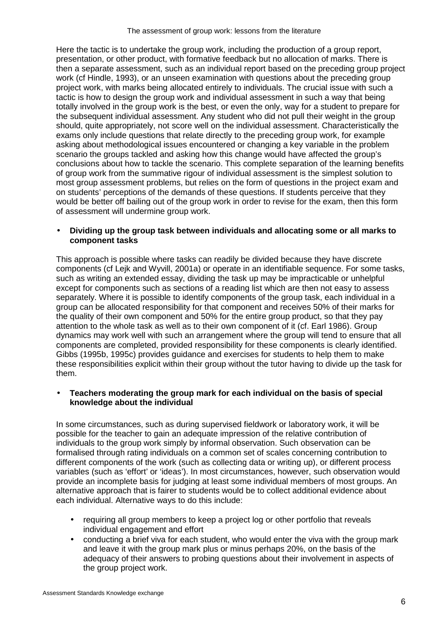Here the tactic is to undertake the group work, including the production of a group report, presentation, or other product, with formative feedback but no allocation of marks. There is then a separate assessment, such as an individual report based on the preceding group project work (cf Hindle, 1993), or an unseen examination with questions about the preceding group project work, with marks being allocated entirely to individuals. The crucial issue with such a tactic is how to design the group work and individual assessment in such a way that being totally involved in the group work is the best, or even the only, way for a student to prepare for the subsequent individual assessment. Any student who did not pull their weight in the group should, quite appropriately, not score well on the individual assessment. Characteristically the exams only include questions that relate directly to the preceding group work, for example asking about methodological issues encountered or changing a key variable in the problem scenario the groups tackled and asking how this change would have affected the group's conclusions about how to tackle the scenario. This complete separation of the learning benefits of group work from the summative rigour of individual assessment is the simplest solution to most group assessment problems, but relies on the form of questions in the project exam and on students' perceptions of the demands of these questions. If students perceive that they would be better off bailing out of the group work in order to revise for the exam, then this form of assessment will undermine group work.

#### • **Dividing up the group task between individuals and allocating some or all marks to component tasks**

This approach is possible where tasks can readily be divided because they have discrete components (cf Lejk and Wyvill, 2001a) or operate in an identifiable sequence. For some tasks, such as writing an extended essay, dividing the task up may be impracticable or unhelpful except for components such as sections of a reading list which are then not easy to assess separately. Where it is possible to identify components of the group task, each individual in a group can be allocated responsibility for that component and receives 50% of their marks for the quality of their own component and 50% for the entire group product, so that they pay attention to the whole task as well as to their own component of it (cf. Earl 1986). Group dynamics may work well with such an arrangement where the group will tend to ensure that all components are completed, provided responsibility for these components is clearly identified. Gibbs (1995b, 1995c) provides guidance and exercises for students to help them to make these responsibilities explicit within their group without the tutor having to divide up the task for them.

#### • **Teachers moderating the group mark for each individual on the basis of special knowledge about the individual**

In some circumstances, such as during supervised fieldwork or laboratory work, it will be possible for the teacher to gain an adequate impression of the relative contribution of individuals to the group work simply by informal observation. Such observation can be formalised through rating individuals on a common set of scales concerning contribution to different components of the work (such as collecting data or writing up), or different process variables (such as 'effort' or 'ideas'). In most circumstances, however, such observation would provide an incomplete basis for judging at least some individual members of most groups. An alternative approach that is fairer to students would be to collect additional evidence about each individual. Alternative ways to do this include:

- requiring all group members to keep a project log or other portfolio that reveals individual engagement and effort
- conducting a brief viva for each student, who would enter the viva with the group mark and leave it with the group mark plus or minus perhaps 20%, on the basis of the adequacy of their answers to probing questions about their involvement in aspects of the group project work.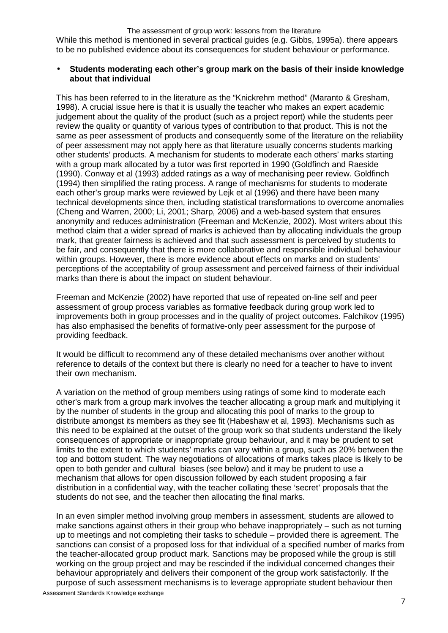While this method is mentioned in several practical guides (e.g. Gibbs, 1995a). there appears to be no published evidence about its consequences for student behaviour or performance.

#### • **Students moderating each other's group mark on the basis of their inside knowledge about that individual**

This has been referred to in the literature as the "Knickrehm method" (Maranto & Gresham, 1998). A crucial issue here is that it is usually the teacher who makes an expert academic judgement about the quality of the product (such as a project report) while the students peer review the quality or quantity of various types of contribution to that product. This is not the same as peer assessment of products and consequently some of the literature on the reliability of peer assessment may not apply here as that literature usually concerns students marking other students' products. A mechanism for students to moderate each others' marks starting with a group mark allocated by a tutor was first reported in 1990 (Goldfinch and Raeside (1990). Conway et al (1993) added ratings as a way of mechanising peer review. Goldfinch (1994) then simplified the rating process. A range of mechanisms for students to moderate each other's group marks were reviewed by Lejk et al (1996) and there have been many technical developments since then, including statistical transformations to overcome anomalies (Cheng and Warren, 2000; Li, 2001; Sharp, 2006) and a web-based system that ensures anonymity and reduces administration (Freeman and McKenzie, 2002). Most writers about this method claim that a wider spread of marks is achieved than by allocating individuals the group mark, that greater fairness is achieved and that such assessment is perceived by students to be fair, and consequently that there is more collaborative and responsible individual behaviour within groups. However, there is more evidence about effects on marks and on students' perceptions of the acceptability of group assessment and perceived fairness of their individual marks than there is about the impact on student behaviour.

Freeman and McKenzie (2002) have reported that use of repeated on-line self and peer assessment of group process variables as formative feedback during group work led to improvements both in group processes and in the quality of project outcomes. Falchikov (1995) has also emphasised the benefits of formative-only peer assessment for the purpose of providing feedback.

It would be difficult to recommend any of these detailed mechanisms over another without reference to details of the context but there is clearly no need for a teacher to have to invent their own mechanism.

A variation on the method of group members using ratings of some kind to moderate each other's mark from a group mark involves the teacher allocating a group mark and multiplying it by the number of students in the group and allocating this pool of marks to the group to distribute amongst its members as they see fit (Habeshaw et al, 1993). Mechanisms such as this need to be explained at the outset of the group work so that students understand the likely consequences of appropriate or inappropriate group behaviour, and it may be prudent to set limits to the extent to which students' marks can vary within a group, such as 20% between the top and bottom student. The way negotiations of allocations of marks takes place is likely to be open to both gender and cultural biases (see below) and it may be prudent to use a mechanism that allows for open discussion followed by each student proposing a fair distribution in a confidential way, with the teacher collating these 'secret' proposals that the students do not see, and the teacher then allocating the final marks.

In an even simpler method involving group members in assessment, students are allowed to make sanctions against others in their group who behave inappropriately – such as not turning up to meetings and not completing their tasks to schedule – provided there is agreement. The sanctions can consist of a proposed loss for that individual of a specified number of marks from the teacher-allocated group product mark. Sanctions may be proposed while the group is still working on the group project and may be rescinded if the individual concerned changes their behaviour appropriately and delivers their component of the group work satisfactorily. If the purpose of such assessment mechanisms is to leverage appropriate student behaviour then

Assessment Standards Knowledge exchange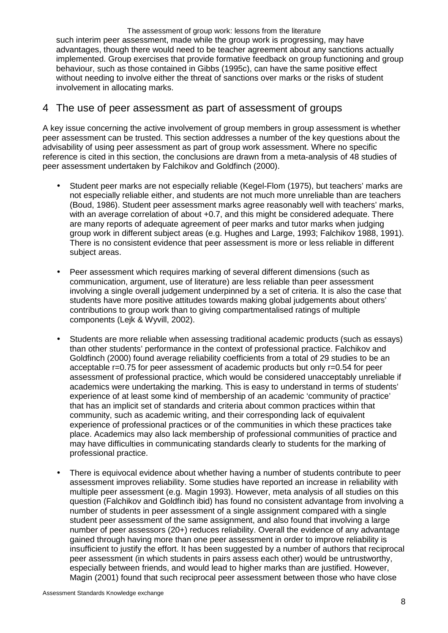The assessment of group work: lessons from the literature such interim peer assessment, made while the group work is progressing, may have advantages, though there would need to be teacher agreement about any sanctions actually implemented. Group exercises that provide formative feedback on group functioning and group behaviour, such as those contained in Gibbs (1995c), can have the same positive effect without needing to involve either the threat of sanctions over marks or the risks of student involvement in allocating marks.

# 4 The use of peer assessment as part of assessment of groups

A key issue concerning the active involvement of group members in group assessment is whether peer assessment can be trusted. This section addresses a number of the key questions about the advisability of using peer assessment as part of group work assessment. Where no specific reference is cited in this section, the conclusions are drawn from a meta-analysis of 48 studies of peer assessment undertaken by Falchikov and Goldfinch (2000).

- Student peer marks are not especially reliable (Kegel-Flom (1975), but teachers' marks are not especially reliable either, and students are not much more unreliable than are teachers (Boud, 1986). Student peer assessment marks agree reasonably well with teachers' marks, with an average correlation of about +0.7, and this might be considered adequate. There are many reports of adequate agreement of peer marks and tutor marks when judging group work in different subject areas (e.g. Hughes and Large, 1993; Falchikov 1988, 1991). There is no consistent evidence that peer assessment is more or less reliable in different subject areas.
- Peer assessment which requires marking of several different dimensions (such as communication, argument, use of literature) are less reliable than peer assessment involving a single overall judgement underpinned by a set of criteria. It is also the case that students have more positive attitudes towards making global judgements about others' contributions to group work than to giving compartmentalised ratings of multiple components (Lejk & Wyvill, 2002).
- Students are more reliable when assessing traditional academic products (such as essays) than other students' performance in the context of professional practice. Falchikov and Goldfinch (2000) found average reliability coefficients from a total of 29 studies to be an acceptable r=0.75 for peer assessment of academic products but only r=0.54 for peer assessment of professional practice, which would be considered unacceptably unreliable if academics were undertaking the marking. This is easy to understand in terms of students' experience of at least some kind of membership of an academic 'community of practice' that has an implicit set of standards and criteria about common practices within that community, such as academic writing, and their corresponding lack of equivalent experience of professional practices or of the communities in which these practices take place. Academics may also lack membership of professional communities of practice and may have difficulties in communicating standards clearly to students for the marking of professional practice.
- There is equivocal evidence about whether having a number of students contribute to peer assessment improves reliability. Some studies have reported an increase in reliability with multiple peer assessment (e.g. Magin 1993). However, meta analysis of all studies on this question (Falchikov and Goldfinch ibid) has found no consistent advantage from involving a number of students in peer assessment of a single assignment compared with a single student peer assessment of the same assignment, and also found that involving a large number of peer assessors (20+) reduces reliability. Overall the evidence of any advantage gained through having more than one peer assessment in order to improve reliability is insufficient to justify the effort. It has been suggested by a number of authors that reciprocal peer assessment (in which students in pairs assess each other) would be untrustworthy, especially between friends, and would lead to higher marks than are justified. However, Magin (2001) found that such reciprocal peer assessment between those who have close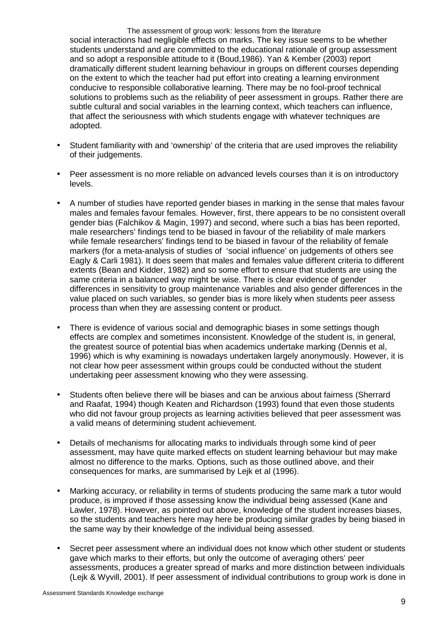The assessment of group work: lessons from the literature social interactions had negligible effects on marks. The key issue seems to be whether students understand and are committed to the educational rationale of group assessment and so adopt a responsible attitude to it (Boud,1986). Yan & Kember (2003) report dramatically different student learning behaviour in groups on different courses depending on the extent to which the teacher had put effort into creating a learning environment conducive to responsible collaborative learning. There may be no fool-proof technical solutions to problems such as the reliability of peer assessment in groups. Rather there are subtle cultural and social variables in the learning context, which teachers can influence, that affect the seriousness with which students engage with whatever techniques are adopted.

- Student familiarity with and 'ownership' of the criteria that are used improves the reliability of their judgements.
- Peer assessment is no more reliable on advanced levels courses than it is on introductory levels.
- A number of studies have reported gender biases in marking in the sense that males favour males and females favour females. However, first, there appears to be no consistent overall gender bias (Falchikov & Magin, 1997) and second, where such a bias has been reported, male researchers' findings tend to be biased in favour of the reliability of male markers while female researchers' findings tend to be biased in favour of the reliability of female markers (for a meta-analysis of studies of 'social influence' on judgements of others see Eagly & Carli 1981). It does seem that males and females value different criteria to different extents (Bean and Kidder, 1982) and so some effort to ensure that students are using the same criteria in a balanced way might be wise. There is clear evidence of gender differences in sensitivity to group maintenance variables and also gender differences in the value placed on such variables, so gender bias is more likely when students peer assess process than when they are assessing content or product.
- There is evidence of various social and demographic biases in some settings though effects are complex and sometimes inconsistent. Knowledge of the student is, in general, the greatest source of potential bias when academics undertake marking (Dennis et al, 1996) which is why examining is nowadays undertaken largely anonymously. However, it is not clear how peer assessment within groups could be conducted without the student undertaking peer assessment knowing who they were assessing.
- Students often believe there will be biases and can be anxious about fairness (Sherrard and Raafat, 1994) though Keaten and Richardson (1993) found that even those students who did not favour group projects as learning activities believed that peer assessment was a valid means of determining student achievement.
- Details of mechanisms for allocating marks to individuals through some kind of peer assessment, may have quite marked effects on student learning behaviour but may make almost no difference to the marks. Options, such as those outlined above, and their consequences for marks, are summarised by Lejk et al (1996).
- Marking accuracy, or reliability in terms of students producing the same mark a tutor would produce, is improved if those assessing know the individual being assessed (Kane and Lawler, 1978). However, as pointed out above, knowledge of the student increases biases, so the students and teachers here may here be producing similar grades by being biased in the same way by their knowledge of the individual being assessed.
- Secret peer assessment where an individual does not know which other student or students gave which marks to their efforts, but only the outcome of averaging others' peer assessments, produces a greater spread of marks and more distinction between individuals (Lejk & Wyvill, 2001). If peer assessment of individual contributions to group work is done in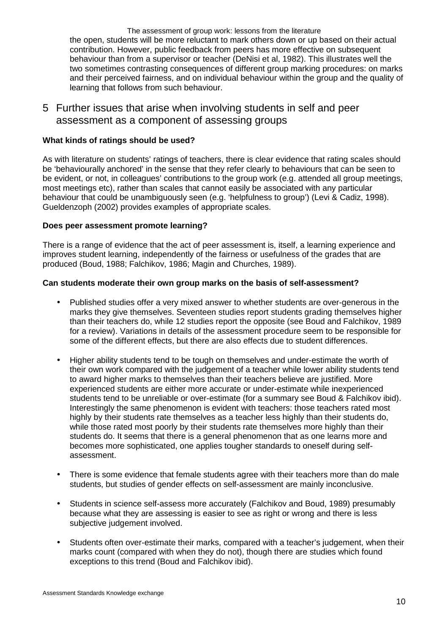The assessment of group work: lessons from the literature the open, students will be more reluctant to mark others down or up based on their actual contribution. However, public feedback from peers has more effective on subsequent behaviour than from a supervisor or teacher (DeNisi et al, 1982). This illustrates well the two sometimes contrasting consequences of different group marking procedures: on marks and their perceived fairness, and on individual behaviour within the group and the quality of learning that follows from such behaviour.

5 Further issues that arise when involving students in self and peer assessment as a component of assessing groups

#### **What kinds of ratings should be used?**

As with literature on students' ratings of teachers, there is clear evidence that rating scales should be 'behaviourally anchored' in the sense that they refer clearly to behaviours that can be seen to be evident, or not, in colleagues' contributions to the group work (e.g. attended all group meetings, most meetings etc), rather than scales that cannot easily be associated with any particular behaviour that could be unambiguously seen (e.g. 'helpfulness to group') (Levi & Cadiz, 1998). Gueldenzoph (2002) provides examples of appropriate scales.

#### **Does peer assessment promote learning?**

There is a range of evidence that the act of peer assessment is, itself, a learning experience and improves student learning, independently of the fairness or usefulness of the grades that are produced (Boud, 1988; Falchikov, 1986; Magin and Churches, 1989).

#### **Can students moderate their own group marks on the basis of self-assessment?**

- Published studies offer a very mixed answer to whether students are over-generous in the marks they give themselves. Seventeen studies report students grading themselves higher than their teachers do, while 12 studies report the opposite (see Boud and Falchikov, 1989 for a review). Variations in details of the assessment procedure seem to be responsible for some of the different effects, but there are also effects due to student differences.
- Higher ability students tend to be tough on themselves and under-estimate the worth of their own work compared with the judgement of a teacher while lower ability students tend to award higher marks to themselves than their teachers believe are justified. More experienced students are either more accurate or under-estimate while inexperienced students tend to be unreliable or over-estimate (for a summary see Boud & Falchikov ibid). Interestingly the same phenomenon is evident with teachers: those teachers rated most highly by their students rate themselves as a teacher less highly than their students do, while those rated most poorly by their students rate themselves more highly than their students do. It seems that there is a general phenomenon that as one learns more and becomes more sophisticated, one applies tougher standards to oneself during selfassessment.
- There is some evidence that female students agree with their teachers more than do male students, but studies of gender effects on self-assessment are mainly inconclusive.
- Students in science self-assess more accurately (Falchikov and Boud, 1989) presumably because what they are assessing is easier to see as right or wrong and there is less subjective judgement involved.
- Students often over-estimate their marks, compared with a teacher's judgement, when their marks count (compared with when they do not), though there are studies which found exceptions to this trend (Boud and Falchikov ibid).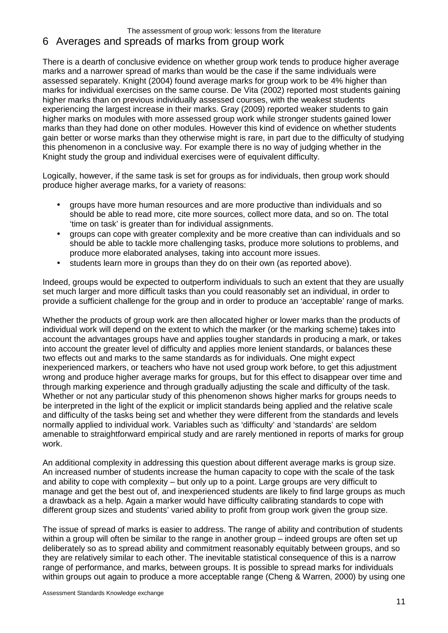# 6 Averages and spreads of marks from group work

There is a dearth of conclusive evidence on whether group work tends to produce higher average marks and a narrower spread of marks than would be the case if the same individuals were assessed separately. Knight (2004) found average marks for group work to be 4% higher than marks for individual exercises on the same course. De Vita (2002) reported most students gaining higher marks than on previous individually assessed courses, with the weakest students experiencing the largest increase in their marks. Gray (2009) reported weaker students to gain higher marks on modules with more assessed group work while stronger students gained lower marks than they had done on other modules. However this kind of evidence on whether students gain better or worse marks than they otherwise might is rare, in part due to the difficulty of studying this phenomenon in a conclusive way. For example there is no way of judging whether in the Knight study the group and individual exercises were of equivalent difficulty.

Logically, however, if the same task is set for groups as for individuals, then group work should produce higher average marks, for a variety of reasons:

- groups have more human resources and are more productive than individuals and so should be able to read more, cite more sources, collect more data, and so on. The total 'time on task' is greater than for individual assignments.
- groups can cope with greater complexity and be more creative than can individuals and so should be able to tackle more challenging tasks, produce more solutions to problems, and produce more elaborated analyses, taking into account more issues.
- students learn more in groups than they do on their own (as reported above).

Indeed, groups would be expected to outperform individuals to such an extent that they are usually set much larger and more difficult tasks than you could reasonably set an individual, in order to provide a sufficient challenge for the group and in order to produce an 'acceptable' range of marks.

Whether the products of group work are then allocated higher or lower marks than the products of individual work will depend on the extent to which the marker (or the marking scheme) takes into account the advantages groups have and applies tougher standards in producing a mark, or takes into account the greater level of difficulty and applies more lenient standards, or balances these two effects out and marks to the same standards as for individuals. One might expect inexperienced markers, or teachers who have not used group work before, to get this adjustment wrong and produce higher average marks for groups, but for this effect to disappear over time and through marking experience and through gradually adjusting the scale and difficulty of the task. Whether or not any particular study of this phenomenon shows higher marks for groups needs to be interpreted in the light of the explicit or implicit standards being applied and the relative scale and difficulty of the tasks being set and whether they were different from the standards and levels normally applied to individual work. Variables such as 'difficulty' and 'standards' are seldom amenable to straightforward empirical study and are rarely mentioned in reports of marks for group work.

An additional complexity in addressing this question about different average marks is group size. An increased number of students increase the human capacity to cope with the scale of the task and ability to cope with complexity – but only up to a point. Large groups are very difficult to manage and get the best out of, and inexperienced students are likely to find large groups as much a drawback as a help. Again a marker would have difficulty calibrating standards to cope with different group sizes and students' varied ability to profit from group work given the group size.

The issue of spread of marks is easier to address. The range of ability and contribution of students within a group will often be similar to the range in another group – indeed groups are often set up deliberately so as to spread ability and commitment reasonably equitably between groups, and so they are relatively similar to each other. The inevitable statistical consequence of this is a narrow range of performance, and marks, between groups. It is possible to spread marks for individuals within groups out again to produce a more acceptable range (Cheng & Warren, 2000) by using one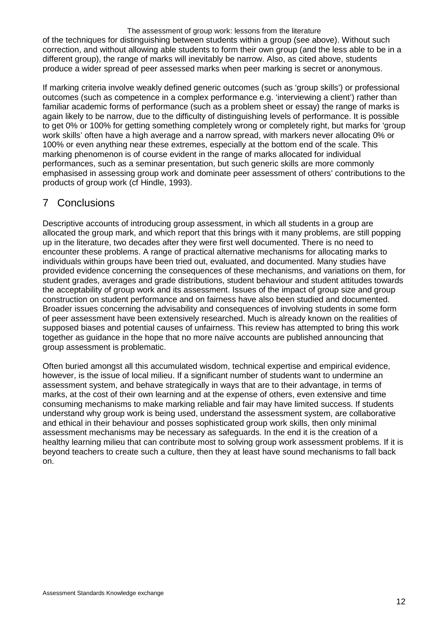of the techniques for distinguishing between students within a group (see above). Without such correction, and without allowing able students to form their own group (and the less able to be in a different group), the range of marks will inevitably be narrow. Also, as cited above, students produce a wider spread of peer assessed marks when peer marking is secret or anonymous.

If marking criteria involve weakly defined generic outcomes (such as 'group skills') or professional outcomes (such as competence in a complex performance e.g. 'interviewing a client') rather than familiar academic forms of performance (such as a problem sheet or essay) the range of marks is again likely to be narrow, due to the difficulty of distinguishing levels of performance. It is possible to get 0% or 100% for getting something completely wrong or completely right, but marks for 'group work skills' often have a high average and a narrow spread, with markers never allocating 0% or 100% or even anything near these extremes, especially at the bottom end of the scale. This marking phenomenon is of course evident in the range of marks allocated for individual performances, such as a seminar presentation, but such generic skills are more commonly emphasised in assessing group work and dominate peer assessment of others' contributions to the products of group work (cf Hindle, 1993).

# 7 Conclusions

Descriptive accounts of introducing group assessment, in which all students in a group are allocated the group mark, and which report that this brings with it many problems, are still popping up in the literature, two decades after they were first well documented. There is no need to encounter these problems. A range of practical alternative mechanisms for allocating marks to individuals within groups have been tried out, evaluated, and documented. Many studies have provided evidence concerning the consequences of these mechanisms, and variations on them, for student grades, averages and grade distributions, student behaviour and student attitudes towards the acceptability of group work and its assessment. Issues of the impact of group size and group construction on student performance and on fairness have also been studied and documented. Broader issues concerning the advisability and consequences of involving students in some form of peer assessment have been extensively researched. Much is already known on the realities of supposed biases and potential causes of unfairness. This review has attempted to bring this work together as guidance in the hope that no more naïve accounts are published announcing that group assessment is problematic.

Often buried amongst all this accumulated wisdom, technical expertise and empirical evidence, however, is the issue of local milieu. If a significant number of students want to undermine an assessment system, and behave strategically in ways that are to their advantage, in terms of marks, at the cost of their own learning and at the expense of others, even extensive and time consuming mechanisms to make marking reliable and fair may have limited success. If students understand why group work is being used, understand the assessment system, are collaborative and ethical in their behaviour and posses sophisticated group work skills, then only minimal assessment mechanisms may be necessary as safeguards. In the end it is the creation of a healthy learning milieu that can contribute most to solving group work assessment problems. If it is beyond teachers to create such a culture, then they at least have sound mechanisms to fall back on.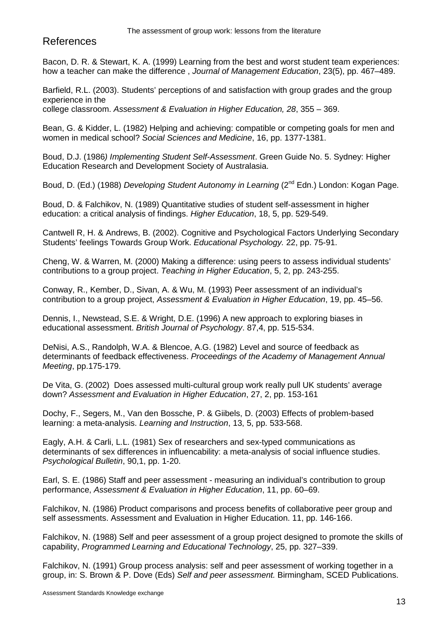# References

Bacon, D. R. & Stewart, K. A. (1999) Learning from the best and worst student team experiences: how a teacher can make the difference , Journal of Management Education, 23(5), pp. 467–489.

Barfield, R.L. (2003). Students' perceptions of and satisfaction with group grades and the group experience in the

college classroom. Assessment & Evaluation in Higher Education, 28, 355 – 369.

Bean, G. & Kidder, L. (1982) Helping and achieving: compatible or competing goals for men and women in medical school? Social Sciences and Medicine, 16, pp. 1377-1381.

Boud, D.J. (1986) Implementing Student Self-Assessment. Green Guide No. 5. Sydney: Higher Education Research and Development Society of Australasia.

Boud, D. (Ed.) (1988) Developing Student Autonomy in Learning (2<sup>nd</sup> Edn.) London: Kogan Page.

Boud, D. & Falchikov, N. (1989) Quantitative studies of student self-assessment in higher education: a critical analysis of findings. Higher Education, 18, 5, pp. 529-549.

Cantwell R, H. & Andrews, B. (2002). Cognitive and Psychological Factors Underlying Secondary Students' feelings Towards Group Work. Educational Psychology. 22, pp. 75-91.

Cheng, W. & Warren, M. (2000) Making a difference: using peers to assess individual students' contributions to a group project. Teaching in Higher Education, 5, 2, pp. 243-255.

Conway, R., Kember, D., Sivan, A. & Wu, M. (1993) Peer assessment of an individual's contribution to a group project, Assessment & Evaluation in Higher Education, 19, pp. 45–56.

Dennis, I., Newstead, S.E. & Wright, D.E. (1996) A new approach to exploring biases in educational assessment. British Journal of Psychology. 87,4, pp. 515-534.

DeNisi, A.S., Randolph, W.A. & Blencoe, A.G. (1982) Level and source of feedback as determinants of feedback effectiveness. Proceedings of the Academy of Management Annual Meeting, pp.175-179.

De Vita, G. (2002) Does assessed multi-cultural group work really pull UK students' average down? Assessment and Evaluation in Higher Education, 27, 2, pp. 153-161

Dochy, F., Segers, M., Van den Bossche, P. & Giibels, D. (2003) Effects of problem-based learning: a meta-analysis. Learning and Instruction, 13, 5, pp. 533-568.

Eagly, A.H. & Carli, L.L. (1981) Sex of researchers and sex-typed communications as determinants of sex differences in influencability: a meta-analysis of social influence studies. Psychological Bulletin, 90,1, pp. 1-20.

Earl, S. E. (1986) Staff and peer assessment - measuring an individual's contribution to group performance, Assessment & Evaluation in Higher Education, 11, pp. 60–69.

Falchikov, N. (1986) Product comparisons and process benefits of collaborative peer group and self assessments. Assessment and Evaluation in Higher Education. 11, pp. 146-166.

Falchikov, N. (1988) Self and peer assessment of a group project designed to promote the skills of capability, Programmed Learning and Educational Technology, 25, pp. 327–339.

Falchikov, N. (1991) Group process analysis: self and peer assessment of working together in a group, in: S. Brown & P. Dove (Eds) Self and peer assessment. Birmingham, SCED Publications.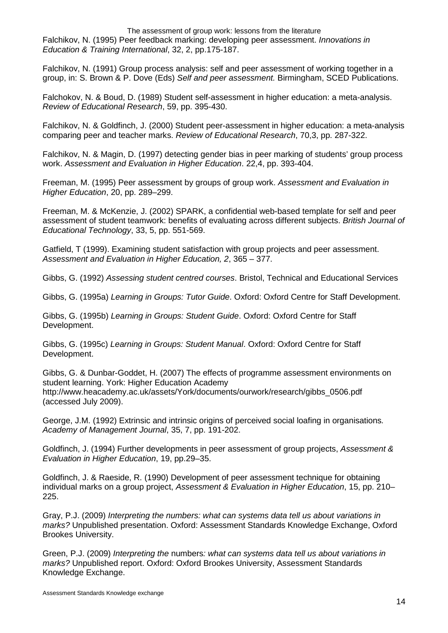The assessment of group work: lessons from the literature Falchikov, N. (1995) Peer feedback marking: developing peer assessment. Innovations in Education & Training International, 32, 2, pp.175-187.

Falchikov, N. (1991) Group process analysis: self and peer assessment of working together in a group, in: S. Brown & P. Dove (Eds) Self and peer assessment. Birmingham, SCED Publications.

Falchokov, N. & Boud, D. (1989) Student self-assessment in higher education: a meta-analysis. Review of Educational Research, 59, pp. 395-430.

Falchikov, N. & Goldfinch, J. (2000) Student peer-assessment in higher education: a meta-analysis comparing peer and teacher marks. Review of Educational Research, 70,3, pp. 287-322.

Falchikov, N. & Magin, D. (1997) detecting gender bias in peer marking of students' group process work. Assessment and Evaluation in Higher Education. 22,4, pp. 393-404.

Freeman, M. (1995) Peer assessment by groups of group work. Assessment and Evaluation in Higher Education, 20, pp. 289–299.

Freeman, M. & McKenzie, J. (2002) SPARK, a confidential web-based template for self and peer assessment of student teamwork: benefits of evaluating across different subjects. British Journal of Educational Technology, 33, 5, pp. 551-569.

Gatfield, T (1999). Examining student satisfaction with group projects and peer assessment. Assessment and Evaluation in Higher Education, 2, 365 – 377.

Gibbs, G. (1992) Assessing student centred courses. Bristol, Technical and Educational Services

Gibbs, G. (1995a) Learning in Groups: Tutor Guide. Oxford: Oxford Centre for Staff Development.

Gibbs, G. (1995b) Learning in Groups: Student Guide. Oxford: Oxford Centre for Staff Development.

Gibbs, G. (1995c) Learning in Groups: Student Manual. Oxford: Oxford Centre for Staff Development.

Gibbs, G. & Dunbar-Goddet, H. (2007) The effects of programme assessment environments on student learning. York: Higher Education Academy http://www.heacademy.ac.uk/assets/York/documents/ourwork/research/gibbs\_0506.pdf (accessed July 2009).

George, J.M. (1992) Extrinsic and intrinsic origins of perceived social loafing in organisations. Academy of Management Journal, 35, 7, pp. 191-202.

Goldfinch, J. (1994) Further developments in peer assessment of group projects, Assessment & Evaluation in Higher Education, 19, pp.29–35.

Goldfinch, J. & Raeside, R. (1990) Development of peer assessment technique for obtaining individual marks on a group project, Assessment & Evaluation in Higher Education, 15, pp. 210– 225.

Gray, P.J. (2009) Interpreting the numbers: what can systems data tell us about variations in marks? Unpublished presentation. Oxford: Assessment Standards Knowledge Exchange, Oxford Brookes University.

Green, P.J. (2009) Interpreting the numbers: what can systems data tell us about variations in marks? Unpublished report. Oxford: Oxford Brookes University, Assessment Standards Knowledge Exchange.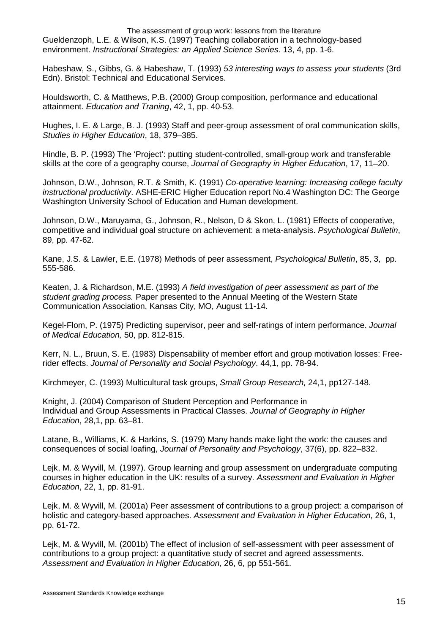The assessment of group work: lessons from the literature Gueldenzoph, L.E. & Wilson, K.S. (1997) Teaching collaboration in a technology-based environment. Instructional Strategies: an Applied Science Series. 13, 4, pp. 1-6.

Habeshaw, S., Gibbs, G. & Habeshaw, T. (1993) 53 interesting ways to assess your students (3rd Edn). Bristol: Technical and Educational Services.

Houldsworth, C. & Matthews, P.B. (2000) Group composition, performance and educational attainment. Education and Traning, 42, 1, pp. 40-53.

Hughes, I. E. & Large, B. J. (1993) Staff and peer-group assessment of oral communication skills, Studies in Higher Education, 18, 379–385.

Hindle, B. P. (1993) The 'Project': putting student-controlled, small-group work and transferable skills at the core of a geography course, Journal of Geography in Higher Education, 17, 11–20.

Johnson, D.W., Johnson, R.T. & Smith, K. (1991) Co-operative learning: Increasing college faculty instructional productivity. ASHE-ERIC Higher Education report No.4 Washington DC: The George Washington University School of Education and Human development.

Johnson, D.W., Maruyama, G., Johnson, R., Nelson, D & Skon, L. (1981) Effects of cooperative, competitive and individual goal structure on achievement: a meta-analysis. Psychological Bulletin, 89, pp. 47-62.

Kane, J.S. & Lawler, E.E. (1978) Methods of peer assessment, Psychological Bulletin, 85, 3, pp. 555-586.

Keaten, J. & Richardson, M.E. (1993) A field investigation of peer assessment as part of the student grading process. Paper presented to the Annual Meeting of the Western State Communication Association. Kansas City, MO, August 11-14.

Kegel-Flom, P. (1975) Predicting supervisor, peer and self-ratings of intern performance. Journal of Medical Education, 50, pp. 812-815.

Kerr, N. L., Bruun, S. E. (1983) Dispensability of member effort and group motivation losses: Freerider effects. Journal of Personality and Social Psychology. 44,1, pp. 78-94.

Kirchmeyer, C. (1993) Multicultural task groups, Small Group Research, 24,1, pp127-148.

Knight, J. (2004) Comparison of Student Perception and Performance in Individual and Group Assessments in Practical Classes. Journal of Geography in Higher Education, 28,1, pp. 63–81.

Latane, B., Williams, K. & Harkins, S. (1979) Many hands make light the work: the causes and consequences of social loafing, Journal of Personality and Psychology, 37(6), pp. 822–832.

Lejk, M. & Wyvill, M. (1997). Group learning and group assessment on undergraduate computing courses in higher education in the UK: results of a survey. Assessment and Evaluation in Higher Education, 22, 1, pp. 81-91.

Lejk, M. & Wyvill, M. (2001a) Peer assessment of contributions to a group project: a comparison of holistic and category-based approaches. Assessment and Evaluation in Higher Education, 26, 1, pp. 61-72.

Lejk, M. & Wyvill, M. (2001b) The effect of inclusion of self-assessment with peer assessment of contributions to a group project: a quantitative study of secret and agreed assessments. Assessment and Evaluation in Higher Education, 26, 6, pp 551-561.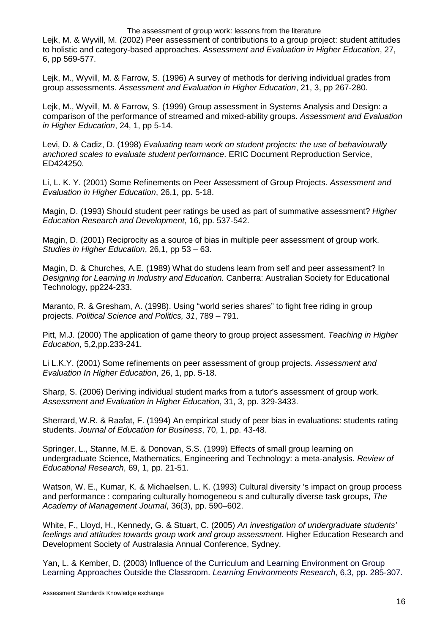Lejk, M. & Wyvill, M. (2002) Peer assessment of contributions to a group project: student attitudes to holistic and category-based approaches. Assessment and Evaluation in Higher Education, 27, 6, pp 569-577.

Lejk, M., Wyvill, M. & Farrow, S. (1996) A survey of methods for deriving individual grades from group assessments. Assessment and Evaluation in Higher Education, 21, 3, pp 267-280.

Lejk, M., Wyvill, M. & Farrow, S. (1999) Group assessment in Systems Analysis and Design: a comparison of the performance of streamed and mixed-ability groups. Assessment and Evaluation in Higher Education, 24, 1, pp 5-14.

Levi, D. & Cadiz, D. (1998) Evaluating team work on student projects: the use of behaviourally anchored scales to evaluate student performance. ERIC Document Reproduction Service, ED424250.

Li, L. K. Y. (2001) Some Refinements on Peer Assessment of Group Projects. Assessment and Evaluation in Higher Education, 26,1, pp. 5-18.

Magin, D. (1993) Should student peer ratings be used as part of summative assessment? Higher Education Research and Development, 16, pp. 537-542.

Magin, D. (2001) Reciprocity as a source of bias in multiple peer assessment of group work. Studies in Higher Education, 26,1, pp 53 – 63.

Magin, D. & Churches, A.E. (1989) What do studens learn from self and peer assessment? In Designing for Learning in Industry and Education. Canberra: Australian Society for Educational Technology, pp224-233.

Maranto, R. & Gresham, A. (1998). Using "world series shares" to fight free riding in group projects. Political Science and Politics, 31, 789 – 791.

Pitt, M.J. (2000) The application of game theory to group project assessment. Teaching in Higher Education, 5,2,pp.233-241.

Li L.K.Y. (2001) Some refinements on peer assessment of group projects. Assessment and Evaluation In Higher Education, 26, 1, pp. 5-18.

Sharp, S. (2006) Deriving individual student marks from a tutor's assessment of group work. Assessment and Evaluation in Higher Education, 31, 3, pp. 329-3433.

Sherrard, W.R. & Raafat, F. (1994) An empirical study of peer bias in evaluations: students rating students. Journal of Education for Business, 70, 1, pp. 43-48.

Springer, L., Stanne, M.E. & Donovan, S.S. (1999) Effects of small group learning on undergraduate Science, Mathematics, Engineering and Technology: a meta-analysis. Review of Educational Research, 69, 1, pp. 21-51.

Watson, W. E., Kumar, K. & Michaelsen, L. K. (1993) Cultural diversity 's impact on group process and performance : comparing culturally homogeneou s and culturally diverse task groups, The Academy of Management Journal, 36(3), pp. 590–602.

White, F., Lloyd, H., Kennedy, G. & Stuart, C. (2005) An investigation of undergraduate students' feelings and attitudes towards group work and group assessment. Higher Education Research and Development Society of Australasia Annual Conference, Sydney.

Yan, L. & Kember, D. (2003) Influence of the Curriculum and Learning Environment on Group Learning Approaches Outside the Classroom. Learning Environments Research, 6,3, pp. 285-307.